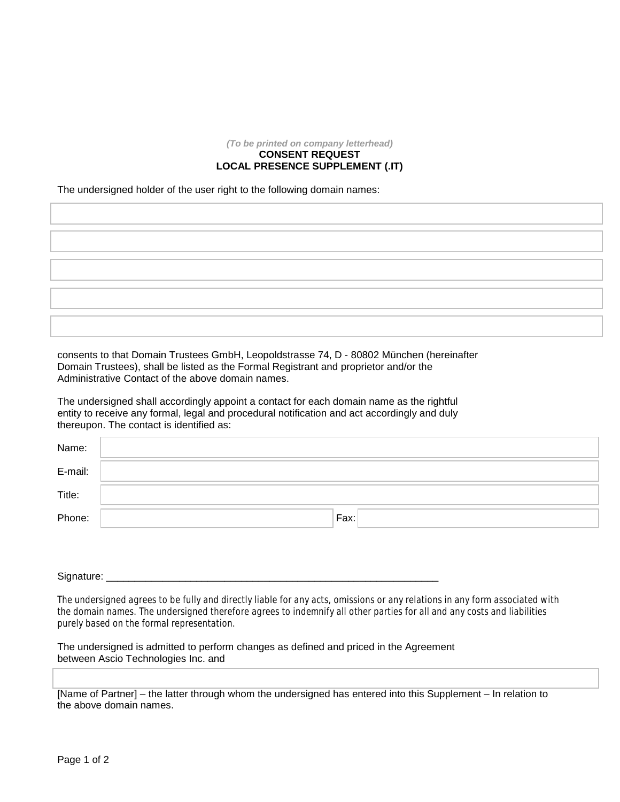## *(To be printed on company letterhead)* **CONSENT REQUEST LOCAL PRESENCE SUPPLEMENT (.IT)**

The undersigned holder of the user right to the following domain names:

consents to that Domain Trustees GmbH, Leopoldstrasse 74, D - 80802 München (hereinafter Domain Trustees), shall be listed as the Formal Registrant and proprietor and/or the Administrative Contact of the above domain names.

The undersigned shall accordingly appoint a contact for each domain name as the rightful entity to receive any formal, legal and procedural notification and act accordingly and duly thereupon. The contact is identified as:

| Name:   |      |
|---------|------|
| E-mail: |      |
| Title:  |      |
| Phone:  | Fax: |

Signature: \_\_\_\_\_\_\_\_\_\_\_\_\_\_\_\_\_\_\_\_\_\_\_\_\_\_\_\_\_\_\_\_\_\_\_\_\_\_\_\_\_\_\_\_\_\_\_\_\_\_\_\_\_\_\_\_\_\_\_

The undersigned agrees to be fully and directly liable for any acts, omissions or any relations in any form associated with the domain names. The undersigned therefore agrees to indemnify all other parties for all and any costs and liabilities purely based on the formal representation.

The undersigned is admitted to perform changes as defined and priced in the Agreement between Ascio Technologies Inc. and

[Name of Partner] – the latter through whom the undersigned has entered into this Supplement – In relation to the above domain names.